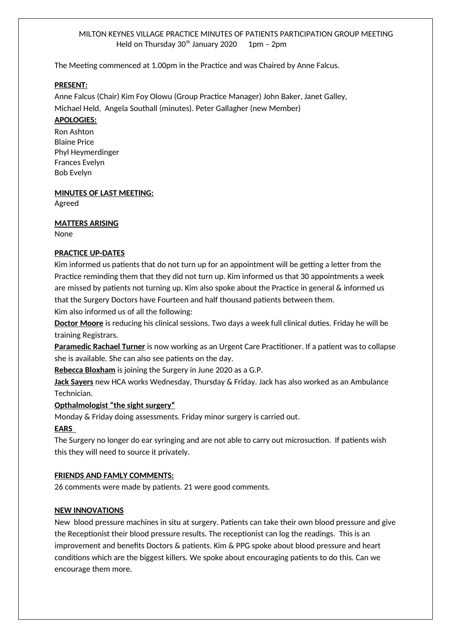### MILTON KEYNES VILLAGE PRACTICE MINUTES OF PATIENTS PARTICIPATION GROUP MEETING Held on Thursday  $30<sup>th</sup>$  January 2020 1pm - 2pm

The Meeting commenced at 1.00pm in the Practice and was Chaired by Anne Falcus.

#### **PRESENT:**

Anne Falcus (Chair) Kim Foy Olowu (Group Practice Manager) John Baker, Janet Galley, Michael Held, Angela Southall (minutes). Peter Gallagher (new Member)

#### **APOLOGIES:**

Ron Ashton Blaine Price Phyl Heymerdinger Frances Evelyn Bob Evelyn

**MINUTES OF LAST MEETING:** Agreed

#### **MATTERS ARISING**

None

### **PRACTICE UP-DATES**

Kim informed us patients that do not turn up for an appointment will be getting a letter from the Practice reminding them that they did not turn up. Kim informed us that 30 appointments a week are missed by patients not turning up. Kim also spoke about the Practice in general & informed us that the Surgery Doctors have Fourteen and half thousand patients between them.

Kim also informed us of all the following:

**Doctor Moore** is reducing his clinical sessions. Two days a week full clinical duties. Friday he will be training Registrars.

**Paramedic Rachael Turner** is now working as an Urgent Care Practitioner. If a patient was to collapse she is available. She can also see patients on the day.

**Rebecca Bloxham** is joining the Surgery in June 2020 as a G.P.

**Jack Sayers** new HCA works Wednesday, Thursday & Friday. Jack has also worked as an Ambulance Technician.

#### **Opthalmologist "the sight surgery"**

Monday & Friday doing assessments. Friday minor surgery is carried out.

#### **EARS**

The Surgery no longer do ear syringing and are not able to carry out microsuction. If patients wish this they will need to source it privately.

#### **FRIENDS AND FAMLY COMMENTS:**

26 comments were made by patients. 21 were good comments.

#### **NEW INNOVATIONS**

New blood pressure machines in situ at surgery. Patients can take their own blood pressure and give the Receptionist their blood pressure results. The receptionist can log the readings. This is an improvement and benefits Doctors & patients. Kim & PPG spoke about blood pressure and heart conditions which are the biggest killers. We spoke about encouraging patients to do this. Can we encourage them more.